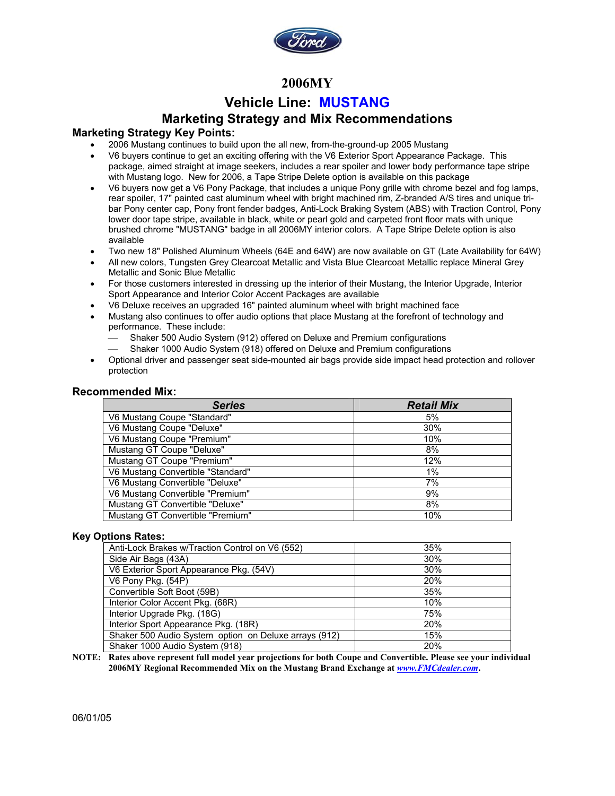

### **2006MY**

### **Vehicle Line: MUSTANG**

### **Marketing Strategy and Mix Recommendations**

### **Marketing Strategy Key Points:**

- 2006 Mustang continues to build upon the all new, from-the-ground-up 2005 Mustang
- V6 buyers continue to get an exciting offering with the V6 Exterior Sport Appearance Package. This package, aimed straight at image seekers, includes a rear spoiler and lower body performance tape stripe with Mustang logo. New for 2006, a Tape Stripe Delete option is available on this package
- V6 buyers now get a V6 Pony Package, that includes a unique Pony grille with chrome bezel and fog lamps, rear spoiler, 17" painted cast aluminum wheel with bright machined rim, Z-branded A/S tires and unique tribar Pony center cap, Pony front fender badges, Anti-Lock Braking System (ABS) with Traction Control, Pony lower door tape stripe, available in black, white or pearl gold and carpeted front floor mats with unique brushed chrome "MUSTANG" badge in all 2006MY interior colors. A Tape Stripe Delete option is also available
- Two new 18" Polished Aluminum Wheels (64E and 64W) are now available on GT (Late Availability for 64W)
- All new colors, Tungsten Grey Clearcoat Metallic and Vista Blue Clearcoat Metallic replace Mineral Grey Metallic and Sonic Blue Metallic
- For those customers interested in dressing up the interior of their Mustang, the Interior Upgrade, Interior Sport Appearance and Interior Color Accent Packages are available
- V6 Deluxe receives an upgraded 16" painted aluminum wheel with bright machined face
- Mustang also continues to offer audio options that place Mustang at the forefront of technology and performance. These include:
	- Shaker 500 Audio System (912) offered on Deluxe and Premium configurations
	- Shaker 1000 Audio System (918) offered on Deluxe and Premium configurations
- Optional driver and passenger seat side-mounted air bags provide side impact head protection and rollover protection

### **Recommended Mix:**

| <b>Series</b>                     | <b>Retail Mix</b> |
|-----------------------------------|-------------------|
| V6 Mustang Coupe "Standard"       | 5%                |
| V6 Mustang Coupe "Deluxe"         | 30%               |
| V6 Mustang Coupe "Premium"        | 10%               |
| Mustang GT Coupe "Deluxe"         | 8%                |
| Mustang GT Coupe "Premium"        | 12%               |
| V6 Mustang Convertible "Standard" | 1%                |
| V6 Mustang Convertible "Deluxe"   | 7%                |
| V6 Mustang Convertible "Premium"  | 9%                |
| Mustang GT Convertible "Deluxe"   | 8%                |
| Mustang GT Convertible "Premium"  | 10%               |

#### **Key Options Rates:**

| Anti-Lock Brakes w/Traction Control on V6 (552)       | 35%        |
|-------------------------------------------------------|------------|
| Side Air Bags (43A)                                   | 30%        |
| V6 Exterior Sport Appearance Pkg. (54V)               | 30%        |
| V6 Pony Pkg. (54P)                                    | <b>20%</b> |
| Convertible Soft Boot (59B)                           | 35%        |
| Interior Color Accent Pkg. (68R)                      | 10%        |
| Interior Upgrade Pkg. (18G)                           | 75%        |
| Interior Sport Appearance Pkg. (18R)                  | 20%        |
| Shaker 500 Audio System option on Deluxe arrays (912) | 15%        |
| Shaker 1000 Audio System (918)                        | 20%        |

**NOTE: Rates above represent full model year projections for both Coupe and Convertible. Please see your individual 2006MY Regional Recommended Mix on the Mustang Brand Exchange at** *www.FMCdealer.com***.**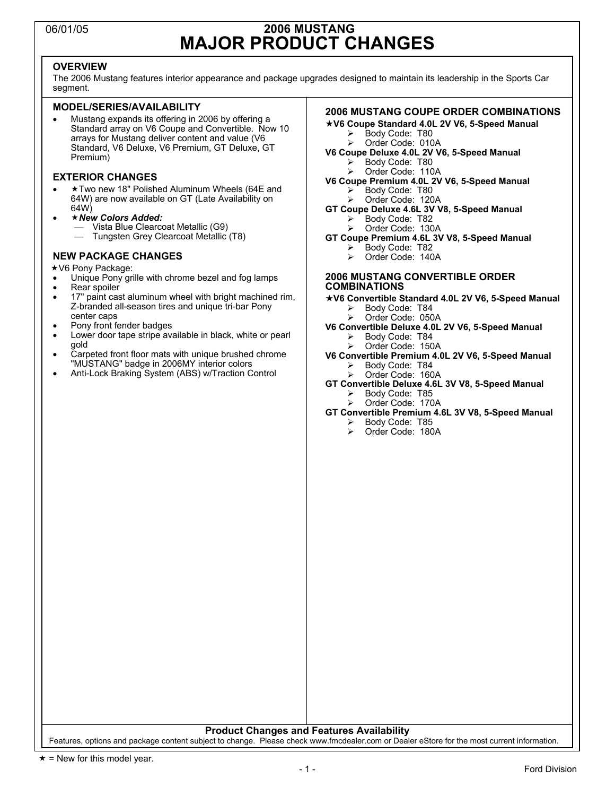## 06/01/05 **2006 MUSTANG MAJOR PRODUCT CHANGES**

### **OVERVIEW**

The 2006 Mustang features interior appearance and package upgrades designed to maintain its leadership in the Sports Car segment.

#### **MODEL/SERIES/AVAILABILITY**

• Mustang expands its offering in 2006 by offering a Standard array on V6 Coupe and Convertible. Now 10 arrays for Mustang deliver content and value (V6 Standard, V6 Deluxe, V6 Premium, GT Deluxe, GT Premium)

#### **EXTERIOR CHANGES**

- Two new 18" Polished Aluminum Wheels (64E and 64W) are now available on GT (Late Availability on 64W)
- *New Colors Added:* 
	- Vista Blue Clearcoat Metallic (G9)
	- Tungsten Grey Clearcoat Metallic (T8)

#### **NEW PACKAGE CHANGES**

- **★V6 Pony Package:**
- Unique Pony grille with chrome bezel and fog lamps
- Rear spoiler
- 17" paint cast aluminum wheel with bright machined rim, Z-branded all-season tires and unique tri-bar Pony center caps
- Pony front fender badges
- Lower door tape stripe available in black, white or pearl gold
- Carpeted front floor mats with unique brushed chrome "MUSTANG" badge in 2006MY interior colors
- Anti-Lock Braking System (ABS) w/Traction Control

#### **2006 MUSTANG COUPE ORDER COMBINATIONS**

- **V6 Coupe Standard 4.0L 2V V6, 5-Speed Manual** 
	- Body Code: T80
	- Order Code: 010A
- **V6 Coupe Deluxe 4.0L 2V V6, 5-Speed Manual**  Body Code: T80
	- Order Code: 110A
- **V6 Coupe Premium 4.0L 2V V6, 5-Speed Manual**  Body Code: T80
	- Order Code: 120A
- **GT Coupe Deluxe 4.6L 3V V8, 5-Speed Manual**  Body Code: T82
	- Order Code: 130A
- **GT Coupe Premium 4.6L 3V V8, 5-Speed Manual** 
	- Body Code: T82
	- ¾ Order Code: 140A

#### **2006 MUSTANG CONVERTIBLE ORDER COMBINATIONS**

- **V6 Convertible Standard 4.0L 2V V6, 5-Speed Manual** 
	- Body Code: T84 Order Code: 050A
- **V6 Convertible Deluxe 4.0L 2V V6, 5-Speed Manual** 
	- Body Code: T84
	- Order Code: 150A
- **V6 Convertible Premium 4.0L 2V V6, 5-Speed Manual** 
	- Body Code: T84
	- Order Code: 160A
- **GT Convertible Deluxe 4.6L 3V V8, 5-Speed Manual**  Body Code: T85
	- Order Code: 170A
- **GT Convertible Premium 4.6L 3V V8, 5-Speed Manual** 
	- ¾ Body Code: T85 ¾ Order Code: 180A

**Product Changes and Features Availability** 

Features, options and package content subject to change. Please check www.fmcdealer.com or Dealer eStore for the most current information.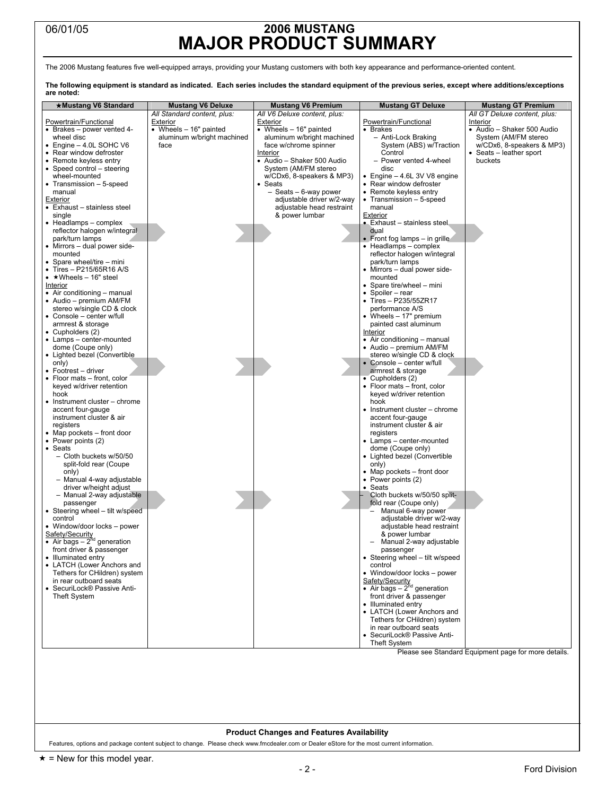## 06/01/05 **2006 MUSTANG MAJOR PRODUCT SUMMARY**

The 2006 Mustang features five well-equipped arrays, providing your Mustang customers with both key appearance and performance-oriented content.

**The following equipment is standard as indicated. Each series includes the standard equipment of the previous series, except where additions/exceptions are noted:** 

| ★Mustang V6 Standard                                  | <b>Mustang V6 Deluxe</b>    | <b>Mustang V6 Premium</b>            | <b>Mustang GT Deluxe</b>                                   | <b>Mustang GT Premium</b>                            |
|-------------------------------------------------------|-----------------------------|--------------------------------------|------------------------------------------------------------|------------------------------------------------------|
|                                                       | All Standard content, plus: | All V6 Deluxe content, plus:         |                                                            | All GT Deluxe content, plus:                         |
| Powertrain/Functional                                 | <b>Exterior</b>             | <b>Exterior</b>                      | Powertrain/Functional                                      | Interior                                             |
| • Brakes - power vented 4-                            | • Wheels $-16"$ painted     | • Wheels $-16"$ painted              | • Brakes                                                   | • Audio - Shaker 500 Audio                           |
| wheel disc                                            | aluminum w/bright machined  | aluminum w/bright machined           | - Anti-Lock Braking                                        | System (AM/FM stereo                                 |
| $\bullet$ Engine $-$ 4.0L SOHC V6                     | face                        | face w/chrome spinner                | System (ABS) w/Traction                                    | w/CDx6, 8-speakers & MP3)                            |
| • Rear window defroster                               |                             | Interior                             | Control                                                    | • Seats – leather sport                              |
| • Remote keyless entry                                |                             | • Audio - Shaker 500 Audio           | - Power vented 4-wheel                                     | buckets                                              |
| • Speed control - steering                            |                             | System (AM/FM stereo                 | disc                                                       |                                                      |
| wheel-mounted<br>• Transmission - 5-speed             |                             | w/CDx6, 8-speakers & MP3)<br>• Seats | • Engine $-4.6L$ 3V V8 engine<br>• Rear window defroster   |                                                      |
| manual                                                |                             | - Seats - 6-way power                | • Remote keyless entry                                     |                                                      |
| Exterior                                              |                             | adjustable driver w/2-way            | • Transmission - 5-speed                                   |                                                      |
| • Exhaust - stainless steel                           |                             | adjustable head restraint            | manual                                                     |                                                      |
| single                                                |                             | & power lumbar                       | Exterior                                                   |                                                      |
| • Headlamps - complex                                 |                             |                                      | • Exhaust - stainless steel.                               |                                                      |
| reflector halogen w/integral                          |                             |                                      | dual                                                       |                                                      |
| park/turn lamps                                       |                             |                                      | • Front fog lamps $-$ in grille                            |                                                      |
| • Mirrors - dual power side-                          |                             |                                      | • Headlamps - complex                                      |                                                      |
| mounted                                               |                             |                                      | reflector halogen w/integral                               |                                                      |
| • Spare wheel/tire - mini<br>• Tires - P215/65R16 A/S |                             |                                      | park/turn lamps<br>• Mirrors – dual power side-            |                                                      |
| $\bullet$ * Wheels - 16" steel                        |                             |                                      | mounted                                                    |                                                      |
| Interior                                              |                             |                                      | • Spare tire/wheel - mini                                  |                                                      |
| • Air conditioning - manual                           |                             |                                      | • Spoiler – rear                                           |                                                      |
| • Audio – premium AM/FM                               |                             |                                      | • Tires - P235/55ZR17                                      |                                                      |
| stereo w/single CD & clock                            |                             |                                      | performance A/S                                            |                                                      |
| • Console - center w/full                             |                             |                                      | • Wheels $-17"$ premium                                    |                                                      |
| armrest & storage                                     |                             |                                      | painted cast aluminum                                      |                                                      |
| • Cupholders (2)                                      |                             |                                      | Interior                                                   |                                                      |
| • Lamps - center-mounted                              |                             |                                      | • Air conditioning - manual                                |                                                      |
| dome (Coupe only)                                     |                             |                                      | • Audio – premium AM/FM                                    |                                                      |
| • Lighted bezel (Convertible                          |                             |                                      | stereo w/single CD & clock                                 |                                                      |
| only)<br>• Footrest - driver                          |                             |                                      | • Console - center w/full<br>armrest & storage             |                                                      |
| • Floor mats - front, color                           |                             |                                      | $\overline{\bullet}$ Cupholders (2)                        |                                                      |
| keyed w/driver retention                              |                             |                                      | • Floor mats - front, color                                |                                                      |
| hook                                                  |                             |                                      | keyed w/driver retention                                   |                                                      |
| • Instrument cluster – chrome                         |                             |                                      | hook                                                       |                                                      |
| accent four-gauge                                     |                             |                                      | • Instrument cluster – chrome                              |                                                      |
| instrument cluster & air                              |                             |                                      | accent four-gauge                                          |                                                      |
| registers                                             |                             |                                      | instrument cluster & air                                   |                                                      |
| • Map pockets – front door                            |                             |                                      | registers                                                  |                                                      |
| • Power points (2)                                    |                             |                                      | • Lamps - center-mounted                                   |                                                      |
| • Seats<br>- Cloth buckets w/50/50                    |                             |                                      | dome (Coupe only)<br>• Lighted bezel (Convertible          |                                                      |
| split-fold rear (Coupe                                |                             |                                      | only)                                                      |                                                      |
| only)                                                 |                             |                                      | • Map pockets – front door                                 |                                                      |
| - Manual 4-way adjustable                             |                             |                                      | • Power points (2)                                         |                                                      |
| driver w/height adjust                                |                             |                                      | Seats                                                      |                                                      |
| - Manual 2-way adjustable                             |                             |                                      | Cloth buckets w/50/50 split-                               |                                                      |
| passenger                                             |                             |                                      | fold rear (Coupe only)                                     |                                                      |
| • Steering wheel - tilt w/speed                       |                             |                                      | Manual 6-way power                                         |                                                      |
| control                                               |                             |                                      | adjustable driver w/2-way                                  |                                                      |
| • Window/door locks - power                           |                             |                                      | adjustable head restraint                                  |                                                      |
| Safety/Security<br>• Air bags $-2^{nd}$ generation    |                             |                                      | & power lumbar<br>Manual 2-way adjustable                  |                                                      |
| front driver & passenger                              |                             |                                      | passenger                                                  |                                                      |
| • Illuminated entry                                   |                             |                                      | • Steering wheel - tilt w/speed                            |                                                      |
| • LATCH (Lower Anchors and                            |                             |                                      | control                                                    |                                                      |
| Tethers for CHildren) system                          |                             |                                      | • Window/door locks - power                                |                                                      |
| in rear outboard seats                                |                             |                                      | Safety/Security<br>• Air bags - $2^{nd}$ generation        |                                                      |
| • SecuriLock® Passive Anti-                           |                             |                                      |                                                            |                                                      |
| <b>Theft System</b>                                   |                             |                                      | front driver & passenger                                   |                                                      |
|                                                       |                             |                                      | • Illuminated entry                                        |                                                      |
|                                                       |                             |                                      | • LATCH (Lower Anchors and<br>Tethers for CHildren) system |                                                      |
|                                                       |                             |                                      | in rear outboard seats                                     |                                                      |
|                                                       |                             |                                      | • SecuriLock® Passive Anti-                                |                                                      |
|                                                       |                             |                                      | <b>Theft System</b>                                        |                                                      |
|                                                       |                             |                                      |                                                            | Please see Standard Equipment page for more details. |
|                                                       |                             |                                      |                                                            |                                                      |
|                                                       |                             |                                      |                                                            |                                                      |
|                                                       |                             |                                      |                                                            |                                                      |
|                                                       |                             |                                      |                                                            |                                                      |
|                                                       |                             |                                      |                                                            |                                                      |

#### **Product Changes and Features Availability**

Features, options and package content subject to change. Please check www.fmcdealer.com or Dealer eStore for the most current information.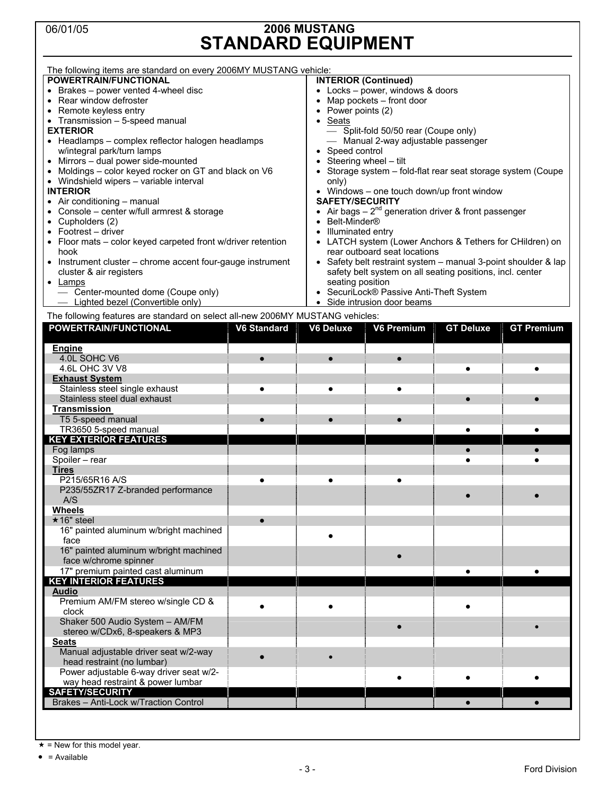## 06/01/05 **2006 MUSTANG STANDARD EQUIPMENT**

| The following items are standard on every 2006MY MUSTANG vehicle:              |                          |                             |                                                                |                  |                   |
|--------------------------------------------------------------------------------|--------------------------|-----------------------------|----------------------------------------------------------------|------------------|-------------------|
| POWERTRAIN/FUNCTIONAL                                                          |                          | <b>INTERIOR (Continued)</b> |                                                                |                  |                   |
| • Brakes – power vented 4-wheel disc                                           |                          |                             | • Locks - power, windows & doors                               |                  |                   |
| • Rear window defroster                                                        | Map pockets - front door |                             |                                                                |                  |                   |
| • Remote keyless entry                                                         |                          | Power points (2)            |                                                                |                  |                   |
| • Transmission - 5-speed manual                                                |                          | Seats<br>$\bullet$          |                                                                |                  |                   |
| <b>EXTERIOR</b>                                                                |                          |                             | - Split-fold 50/50 rear (Coupe only)                           |                  |                   |
| • Headlamps - complex reflector halogen headlamps                              |                          |                             | - Manual 2-way adjustable passenger                            |                  |                   |
| w/integral park/turn lamps                                                     |                          | Speed control               |                                                                |                  |                   |
| • Mirrors - dual power side-mounted                                            |                          |                             | Steering wheel - tilt                                          |                  |                   |
| • Moldings - color keyed rocker on GT and black on V6                          |                          |                             | Storage system - fold-flat rear seat storage system (Coupe     |                  |                   |
| • Windshield wipers - variable interval                                        |                          | only)                       |                                                                |                  |                   |
| <b>INTERIOR</b>                                                                |                          |                             | • Windows - one touch down/up front window                     |                  |                   |
| • Air conditioning - manual                                                    |                          | <b>SAFETY/SECURITY</b>      |                                                                |                  |                   |
| • Console - center w/full armrest & storage                                    |                          |                             | • Air bags $-2^{nd}$ generation driver & front passenger       |                  |                   |
| $\bullet$ Cupholders (2)                                                       |                          | Belt-Minder <sup>®</sup>    |                                                                |                  |                   |
| • Footrest - driver                                                            |                          | Illuminated entry           |                                                                |                  |                   |
| • Floor mats - color keyed carpeted front w/driver retention                   |                          |                             | LATCH system (Lower Anchors & Tethers for CHildren) on         |                  |                   |
| hook                                                                           |                          |                             | rear outboard seat locations                                   |                  |                   |
| • Instrument cluster - chrome accent four-gauge instrument                     |                          |                             | • Safety belt restraint system - manual 3-point shoulder & lap |                  |                   |
| cluster & air registers                                                        |                          |                             | safety belt system on all seating positions, incl. center      |                  |                   |
| $\bullet$ Lamps                                                                |                          | seating position            |                                                                |                  |                   |
| - Center-mounted dome (Coupe only)                                             |                          |                             | SecuriLock® Passive Anti-Theft System                          |                  |                   |
| - Lighted bezel (Convertible only)                                             |                          |                             | • Side intrusion door beams                                    |                  |                   |
| The following features are standard on select all-new 2006MY MUSTANG vehicles: |                          |                             |                                                                |                  |                   |
| POWERTRAIN/FUNCTIONAL                                                          | <b>V6 Standard</b>       | <b>V6 Deluxe</b>            | <b>V6 Premium</b>                                              | <b>GT Deluxe</b> | <b>GT Premium</b> |
|                                                                                |                          |                             |                                                                |                  |                   |
| <b>Engine</b><br>4.0L SOHC V6                                                  |                          |                             |                                                                |                  |                   |
| 4.6L OHC 3V V8                                                                 |                          | $\bullet$                   |                                                                | $\bullet$        |                   |
| <b>Exhaust System</b>                                                          |                          |                             |                                                                |                  |                   |
| Stainless steel single exhaust                                                 |                          | $\bullet$                   |                                                                |                  |                   |
| Stainless steel dual exhaust                                                   |                          |                             |                                                                |                  |                   |
| <b>Transmission</b>                                                            |                          |                             |                                                                |                  |                   |
| T5 5-speed manual                                                              |                          |                             |                                                                |                  |                   |
| TR3650 5-speed manual                                                          |                          |                             |                                                                | $\bullet$        | $\bullet$         |
| <b>KEY EXTERIOR FEATURES</b>                                                   |                          |                             |                                                                |                  |                   |
| Fog lamps                                                                      |                          |                             |                                                                |                  |                   |
| Spoiler - rear                                                                 |                          |                             |                                                                |                  |                   |
| <b>Tires</b>                                                                   |                          |                             |                                                                |                  |                   |
| P215/65R16 A/S                                                                 |                          |                             |                                                                |                  |                   |
| P235/55ZR17 Z-branded performance                                              |                          |                             |                                                                |                  |                   |
| A/S                                                                            |                          |                             |                                                                |                  |                   |
| <b>Wheels</b>                                                                  |                          |                             |                                                                |                  |                   |
| $\star$ 16" steel                                                              |                          |                             |                                                                |                  |                   |
| 16" painted aluminum w/bright machined                                         |                          |                             |                                                                |                  |                   |
| face                                                                           |                          |                             |                                                                |                  |                   |
| 16" painted aluminum w/bright machined                                         |                          |                             |                                                                |                  |                   |
| face w/chrome spinner                                                          |                          |                             |                                                                |                  |                   |
| 17" premium painted cast aluminum                                              |                          |                             |                                                                |                  |                   |
| <b>KEY INTERIOR FEATURES</b>                                                   |                          |                             |                                                                |                  |                   |
| <b>Audio</b>                                                                   |                          |                             |                                                                |                  |                   |
| Premium AM/FM stereo w/single CD &                                             |                          |                             |                                                                |                  |                   |
| clock                                                                          |                          |                             |                                                                |                  |                   |
| Shaker 500 Audio System - AM/FM                                                |                          |                             |                                                                |                  |                   |
| stereo w/CDx6, 8-speakers & MP3                                                |                          |                             |                                                                |                  | $\bullet$         |
| <b>Seats</b>                                                                   |                          |                             |                                                                |                  |                   |
| Manual adjustable driver seat w/2-way                                          |                          |                             |                                                                |                  |                   |
| head restraint (no lumbar)                                                     |                          | $\bullet$                   |                                                                |                  |                   |
| Power adjustable 6-way driver seat w/2-                                        |                          |                             |                                                                |                  |                   |
| way head restraint & power lumbar                                              |                          |                             |                                                                |                  |                   |
| <b>SAFETY/SECURITY</b>                                                         |                          |                             |                                                                |                  |                   |
| Brakes - Anti-Lock w/Traction Control                                          |                          |                             |                                                                | $\bullet$        | $\bullet$         |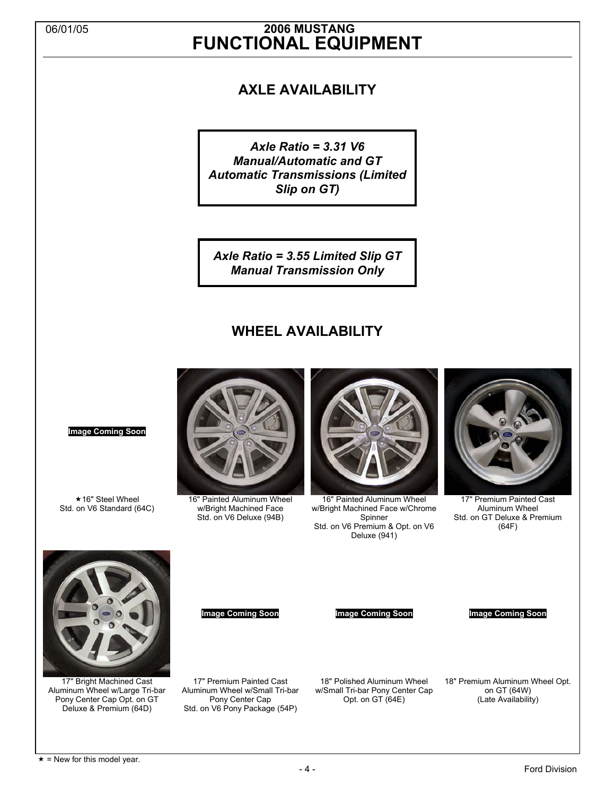## 06/01/05 **2006 MUSTANG FUNCTIONAL EQUIPMENT**

## **AXLE AVAILABILITY**

*Axle Ratio = 3.31 V6 Manual/Automatic and GT Automatic Transmissions (Limited Slip on GT)* 

*Axle Ratio = 3.55 Limited Slip GT Manual Transmission Only* 

## **WHEEL AVAILABILITY**



16" Painted Aluminum Wheel w/Bright Machined Face Std. on V6 Deluxe (94B)



16" Painted Aluminum Wheel w/Bright Machined Face w/Chrome Spinner Std. on V6 Premium & Opt. on V6 Deluxe (941)



17" Premium Painted Cast Aluminum Wheel Std. on GT Deluxe & Premium (64F)



**Image Coming Soon**

**★16" Steel Wheel** Std. on V6 Standard (64C)

17" Bright Machined Cast Aluminum Wheel w/Large Tri-bar Pony Center Cap Opt. on GT Deluxe & Premium (64D)

**Image Coming Soon Image Coming Soon Image Coming Soon**

17" Premium Painted Cast

18" Polished Aluminum Wheel w/Small Tri-bar Pony Center Cap Opt. on GT (64E)

18" Premium Aluminum Wheel Opt. on GT (64W) (Late Availability)

Aluminum Wheel w/Small Tri-bar Pony Center Cap Std. on V6 Pony Package (54P)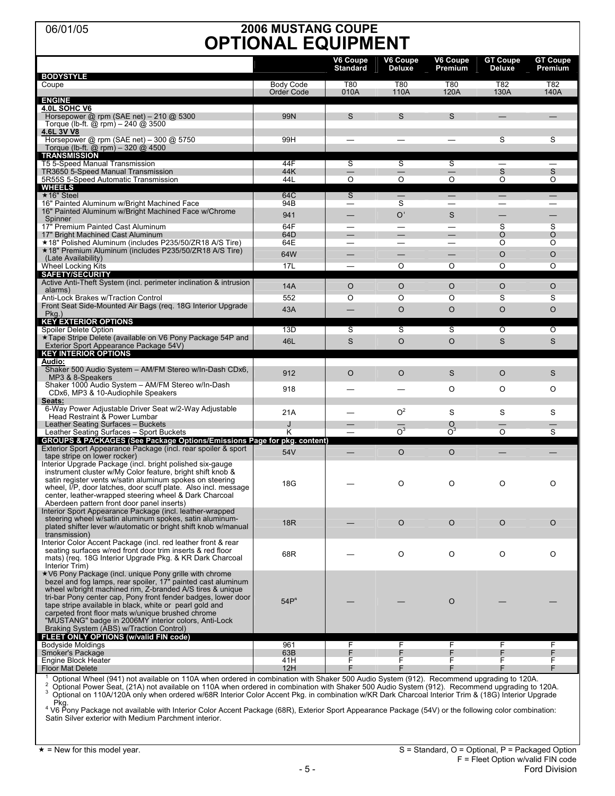## 06/01/05 **2006 MUSTANG COUPE OPTIONAL EQUIPMENT**

| <b>BODYSTYLE</b>                                                                                                                                                                                                                                                                                                                                                                                                                                                         |                                | V6 Coupe<br><b>Standard</b>        | V6 Coupe<br><b>Deluxe</b>                            | V6 Coupe<br>Premium                             | <b>GT Coupe</b><br><b>Deluxe</b>                | <b>GT Coupe</b><br>Premium |
|--------------------------------------------------------------------------------------------------------------------------------------------------------------------------------------------------------------------------------------------------------------------------------------------------------------------------------------------------------------------------------------------------------------------------------------------------------------------------|--------------------------------|------------------------------------|------------------------------------------------------|-------------------------------------------------|-------------------------------------------------|----------------------------|
| Coupe                                                                                                                                                                                                                                                                                                                                                                                                                                                                    | <b>Body Code</b><br>Order Code | T80<br>010A                        | T80<br>110A                                          | <b>T80</b><br>120A                              | T82<br>130A                                     | T82<br>140A                |
| <b>ENGINE</b><br>4.0L SOHC V6<br>Horsepower $@$ rpm (SAE net) - 210 $@$ 5300<br>Torque (lb-ft. @ rpm) $- 240$ @ 3500                                                                                                                                                                                                                                                                                                                                                     | <b>99N</b>                     | S                                  | S                                                    | S                                               |                                                 |                            |
| 4.6L 3V V8<br>Horsepower $@$ rpm (SAE net) $-300 @ 5750$<br>Torque (lb-ft. @ rpm) - 320 @ 4500<br><b>TRANSMISSION</b>                                                                                                                                                                                                                                                                                                                                                    | 99H                            |                                    |                                                      |                                                 | S                                               | S                          |
| T5 5-Speed Manual Transmission<br>TR3650 5-Speed Manual Transmission<br>5R55S 5-Speed Automatic Transmission                                                                                                                                                                                                                                                                                                                                                             | 44F<br>44K<br>44L              | S<br>$\overline{O}$                | S<br>$\overline{\phantom{0}}$<br>$\overline{O}$      | S<br>$\overline{\phantom{0}}$<br>$\overline{O}$ | $\overline{\phantom{0}}$<br>S<br>$\overline{O}$ | —<br>S<br>$\overline{O}$   |
| <b>WHEELS</b><br>★16" Steel<br>16" Painted Aluminum w/Bright Machined Face                                                                                                                                                                                                                                                                                                                                                                                               | 64C<br>94B                     | $\overline{\mathsf{s}}$<br>—       | $\overline{\phantom{0}}$<br>S                        | $\equiv$<br>—                                   | $\overline{\phantom{0}}$<br>—<br>—              | $\overline{\phantom{0}}$   |
| 16" Painted Aluminum w/Bright Machined Face w/Chrome<br>Spinner<br>17" Premium Painted Cast Aluminum                                                                                                                                                                                                                                                                                                                                                                     | 941<br>64F                     | —<br>—<br>$\overline{\phantom{0}}$ | O <sup>1</sup><br>$\overline{\phantom{0}}$           | S                                               | —<br>S                                          | S                          |
| 17" Bright Machined Cast Aluminum<br>★18" Polished Aluminum (includes P235/50/ZR18 A/S Tire)                                                                                                                                                                                                                                                                                                                                                                             | 64D<br>64E                     | $\overline{\phantom{0}}$           | $\overline{\phantom{0}}$<br>$\overline{\phantom{0}}$ | $\equiv$<br>$\overline{\phantom{0}}$            | O<br>O                                          | O<br>O                     |
| ★18" Premium Aluminum (includes P235/50/ZR18 A/S Tire)<br>(Late Availability)<br>Wheel Locking Kits                                                                                                                                                                                                                                                                                                                                                                      | 64W<br>17L                     |                                    | O                                                    | —<br>O                                          | $\circ$<br>O                                    | O<br>O                     |
| <b>SAFETY/SECURITY</b><br>Active Anti-Theft System (incl. perimeter inclination & intrusion<br>alarms)                                                                                                                                                                                                                                                                                                                                                                   | 14A                            | $\circ$                            | $\circ$                                              | $\circ$                                         | O                                               | O                          |
| Anti-Lock Brakes w/Traction Control<br>Front Seat Side-Mounted Air Bags (reg. 18G Interior Upgrade<br>$Pkg.$ )                                                                                                                                                                                                                                                                                                                                                           | 552<br>43A                     | O                                  | O<br>$\circ$                                         | O<br>$\circ$                                    | S<br>$\circ$                                    | S<br>$\circ$               |
| <b>KEY EXTERIOR OPTIONS</b><br>Spoiler Delete Option<br>★Tape Stripe Delete (available on V6 Pony Package 54P and                                                                                                                                                                                                                                                                                                                                                        | 13D                            | S                                  | S                                                    | ऽ                                               | $\overline{\circ}$                              | Ō                          |
| Exterior Sport Appearance Package 54V)<br><b>KEY INTERIOR OPTIONS</b>                                                                                                                                                                                                                                                                                                                                                                                                    | 46L                            | $\mathsf{s}$                       | $\circ$                                              | $\circ$                                         | S                                               | $\mathsf{S}$               |
| <u>Audio:</u><br>Shaker 500 Audio System - AM/FM Stereo w/In-Dash CDx6,<br>MP3 & 8-Speakers                                                                                                                                                                                                                                                                                                                                                                              | 912                            | $\circ$                            | $\circ$                                              | S                                               | $\circ$                                         | S                          |
| Shaker 1000 Audio System - AM/FM Stereo w/In-Dash<br>CDx6, MP3 & 10-Audiophile Speakers<br>Seats:                                                                                                                                                                                                                                                                                                                                                                        | 918                            |                                    |                                                      | O                                               | O                                               | O                          |
| 6-Way Power Adjustable Driver Seat w/2-Way Adjustable<br>Head Restraint & Power Lumbar<br>Leather Seating Surfaces - Buckets                                                                                                                                                                                                                                                                                                                                             | 21A<br>J                       |                                    | O <sup>2</sup>                                       | S<br>$\circ$                                    | S                                               | S                          |
| Leather Seating Surfaces - Sport Buckets<br>GROUPS & PACKAGES (See Package Options/Emissions Page for pkg. content)                                                                                                                                                                                                                                                                                                                                                      | Κ                              | $\overline{\phantom{0}}$           | O <sup>3</sup>                                       | $\overline{O}^3$                                | $\overline{O}$                                  | S                          |
| Exterior Sport Appearance Package (incl. rear spoiler & sport<br>tape stripe on lower rocker)                                                                                                                                                                                                                                                                                                                                                                            | 54V                            |                                    | $\circ$                                              | $\circ$                                         |                                                 |                            |
| Interior Upgrade Package (incl. bright polished six-gauge<br>instrument cluster w/My Color feature, bright shift knob &<br>satin register vents w/satin aluminum spokes on steering<br>wheel, I/P, door latches, door scuff plate. Also incl. message<br>center, leather-wrapped steering wheel & Dark Charcoal<br>Aberdeen pattern front door panel inserts)                                                                                                            | 18G                            |                                    | O                                                    | O                                               | O                                               | O                          |
| Interior Sport Appearance Package (incl. leather-wrapped<br>steering wheel w/satin aluminum spokes, satin aluminum-<br>plated shifter lever w/automatic or bright shift knob w/manual<br>transmission)                                                                                                                                                                                                                                                                   | <b>18R</b>                     |                                    | $\circ$                                              | $\circ$                                         | $\circ$                                         | $\circ$                    |
| Interior Color Accent Package (incl. red leather front & rear<br>seating surfaces w/red front door trim inserts & red floor<br>mats) (reg. 18G Interior Upgrade Pkg. & KR Dark Charcoal<br>Interior Trim)                                                                                                                                                                                                                                                                | 68R                            |                                    | O                                                    | O                                               | O                                               | O                          |
| ★V6 Pony Package (incl. unique Pony grille with chrome<br>bezel and fog lamps, rear spoiler, 17" painted cast aluminum<br>wheel w/bright machined rim, Z-branded A/S tires & unique<br>tri-bar Pony center cap, Pony front fender badges, lower door<br>tape stripe available in black, white or pearl gold and<br>carpeted front floor mats w/unique brushed chrome<br>"MUSTANG" badge in 2006MY interior colors, Anti-Lock<br>Braking System (ABS) w/Traction Control) | 54P <sup>4</sup>               |                                    |                                                      | $\circ$                                         |                                                 |                            |
| FLEET ONLY OPTIONS (w/valid FIN code)<br><b>Bodyside Moldings</b>                                                                                                                                                                                                                                                                                                                                                                                                        | 961                            | F                                  | F                                                    | F                                               | F                                               | F                          |
| Smoker's Package<br>Engine Block Heater                                                                                                                                                                                                                                                                                                                                                                                                                                  | 63B<br>41H                     | F<br>F                             | F<br>F                                               | F<br>F                                          | F<br>F                                          | F<br>F                     |
| <b>Floor Mat Delete</b><br>Optional Wheel (941) not available on 110A when ordered in combination with Shaker 500 Audio System (912). Recommend upgrading to 120A                                                                                                                                                                                                                                                                                                        | 12H                            | F                                  | F                                                    | F                                               | F                                               | F                          |

<sup>1</sup> Optional Wheel (941) not available on 110A when ordered in combination with Shaker 500 Audio System (912). Recommend upgrading to 120A.<br><sup>2</sup> Optional Power Seat, (21A) not available on 110A when ordered in combination w

Pkg.<br><sup>4</sup> V6 Pony Package not available with Interior Color Accent Package (68R), Exterior Sport Appearance Package (54V) or the following color combination:

Satin Silver exterior with Medium Parchment interior.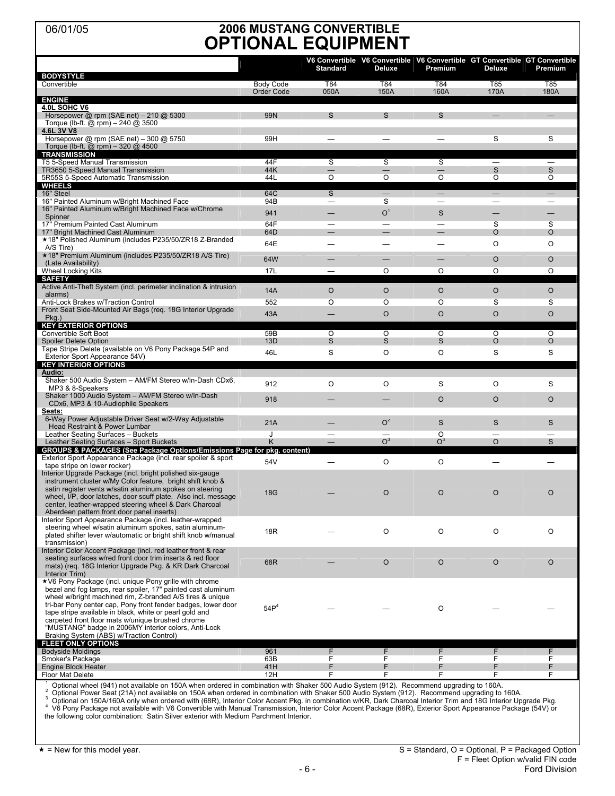## 06/01/05 **2006 MUSTANG CONVERTIBLE OPTIONAL EQUIPMENT**

|                                                                                                                                                                                                                                                                                                                                                                                                                                                                          |                  | <b>Standard</b>                  | Deluxe         | Premium                   | Deluxe            | V6 Convertible V6 Convertible V6 Convertible GT Convertible GT Convertible<br>Premium |
|--------------------------------------------------------------------------------------------------------------------------------------------------------------------------------------------------------------------------------------------------------------------------------------------------------------------------------------------------------------------------------------------------------------------------------------------------------------------------|------------------|----------------------------------|----------------|---------------------------|-------------------|---------------------------------------------------------------------------------------|
| <b>BODYSTYLE</b><br>Convertible                                                                                                                                                                                                                                                                                                                                                                                                                                          | <b>Body Code</b> | T84                              | T84            | T84                       | T85               | T85                                                                                   |
|                                                                                                                                                                                                                                                                                                                                                                                                                                                                          | Order Code       | 050A                             | 150A           | 160A                      | 170A              | 180A                                                                                  |
| <b>ENGINE</b>                                                                                                                                                                                                                                                                                                                                                                                                                                                            |                  |                                  |                |                           |                   |                                                                                       |
| 4.0L SOHC V6<br>Horsepower $@$ rpm (SAE net) $-210 @ 5300$<br>Torque (lb-ft. @ rpm) - 240 @ 3500                                                                                                                                                                                                                                                                                                                                                                         | 99N              | S                                | S              | S                         |                   |                                                                                       |
| 4.6L 3V V8<br>Horsepower @ rpm (SAE net) - 300 @ 5750<br>Torque (lb-ft. @ rpm) - 320 @ 4500                                                                                                                                                                                                                                                                                                                                                                              | 99H              |                                  |                |                           | S                 | S                                                                                     |
| <b>TRANSMISSION</b>                                                                                                                                                                                                                                                                                                                                                                                                                                                      |                  |                                  |                |                           |                   |                                                                                       |
| T5 5-Speed Manual Transmission                                                                                                                                                                                                                                                                                                                                                                                                                                           | 44F              | S                                | S              | S                         | $\qquad \qquad -$ | $\qquad \qquad$                                                                       |
| TR3650 5-Speed Manual Transmission<br>5R55S 5-Speed Automatic Transmission                                                                                                                                                                                                                                                                                                                                                                                               | 44K<br>44L       | $\overline{O}$                   | O              | O                         | S<br>O            | S<br>O                                                                                |
| <b>WHEELS</b>                                                                                                                                                                                                                                                                                                                                                                                                                                                            |                  |                                  |                |                           |                   |                                                                                       |
| 16" Steel                                                                                                                                                                                                                                                                                                                                                                                                                                                                | 64C              | $\overline{\mathbf{s}}$          |                |                           |                   |                                                                                       |
| 16" Painted Aluminum w/Bright Machined Face<br>16" Painted Aluminum w/Bright Machined Face w/Chrome                                                                                                                                                                                                                                                                                                                                                                      | 94B              | $\overbrace{\phantom{12322111}}$ | S              | $\overline{\phantom{0}}$  |                   |                                                                                       |
| Spinner                                                                                                                                                                                                                                                                                                                                                                                                                                                                  | 941              |                                  | O <sup>1</sup> | S                         |                   |                                                                                       |
| 17" Premium Painted Cast Aluminum                                                                                                                                                                                                                                                                                                                                                                                                                                        | 64F              |                                  |                |                           | S                 | S                                                                                     |
| 17" Bright Machined Cast Aluminum<br>★18" Polished Aluminum (includes P235/50/ZR18 Z-Branded                                                                                                                                                                                                                                                                                                                                                                             | 64D              |                                  |                |                           | O                 | $\circ$                                                                               |
| A/S Tire)<br>★18" Premium Aluminum (includes P235/50/ZR18 A/S Tire)                                                                                                                                                                                                                                                                                                                                                                                                      | 64E              |                                  |                | —                         | O                 | O                                                                                     |
| (Late Availability)                                                                                                                                                                                                                                                                                                                                                                                                                                                      | 64W              |                                  |                |                           | $\circ$           | $\circ$                                                                               |
| <b>Wheel Locking Kits</b>                                                                                                                                                                                                                                                                                                                                                                                                                                                | 17L              |                                  | O              | O                         | O                 | O                                                                                     |
| <b>SAFETY</b><br>Active Anti-Theft System (incl. perimeter inclination & intrusion                                                                                                                                                                                                                                                                                                                                                                                       | <b>14A</b>       | $\circ$                          | $\circ$        | $\circ$                   | $\circ$           | $\circ$                                                                               |
| alarms)<br>Anti-Lock Brakes w/Traction Control                                                                                                                                                                                                                                                                                                                                                                                                                           | 552              | O                                | O              | O                         | S                 | S                                                                                     |
| Front Seat Side-Mounted Air Bags (reg. 18G Interior Upgrade<br>$P$ kg.)                                                                                                                                                                                                                                                                                                                                                                                                  | 43A              |                                  | $\circ$        | $\circ$                   | $\circ$           | $\circ$                                                                               |
| <b>KEY EXTERIOR OPTIONS</b>                                                                                                                                                                                                                                                                                                                                                                                                                                              |                  |                                  |                |                           |                   |                                                                                       |
| Convertible Soft Boot                                                                                                                                                                                                                                                                                                                                                                                                                                                    | 59B              | O                                | O              | O                         | O                 | O                                                                                     |
| <b>Spoiler Delete Option</b>                                                                                                                                                                                                                                                                                                                                                                                                                                             | 13D              | S                                | S              | S                         | $\circ$           | $\circ$                                                                               |
| Tape Stripe Delete (available on V6 Pony Package 54P and<br>Exterior Sport Appearance 54V)                                                                                                                                                                                                                                                                                                                                                                               | 46L              | S                                | O              | O                         | S                 | S                                                                                     |
| <b>KEY INTERIOR OPTIONS</b>                                                                                                                                                                                                                                                                                                                                                                                                                                              |                  |                                  |                |                           |                   |                                                                                       |
| Audio:<br>Shaker 500 Audio System - AM/FM Stereo w/ln-Dash CDx6,                                                                                                                                                                                                                                                                                                                                                                                                         |                  |                                  |                |                           |                   |                                                                                       |
| MP3 & 8-Speakers                                                                                                                                                                                                                                                                                                                                                                                                                                                         | 912              | O                                | O              | S                         | O                 | S                                                                                     |
| Shaker 1000 Audio System - AM/FM Stereo w/In-Dash<br>CDx6, MP3 & 10-Audiophile Speakers                                                                                                                                                                                                                                                                                                                                                                                  | 918              |                                  |                | $\circ$                   | $\circ$           | O                                                                                     |
| Seats:<br>6-Way Power Adjustable Driver Seat w/2-Way Adjustable                                                                                                                                                                                                                                                                                                                                                                                                          |                  |                                  |                |                           |                   |                                                                                       |
| Head Restraint & Power Lumbar                                                                                                                                                                                                                                                                                                                                                                                                                                            | 21A              |                                  | $O^2$          | $\mathsf{s}$              | $\mathbf S$       | S                                                                                     |
| Leather Seating Surfaces - Buckets                                                                                                                                                                                                                                                                                                                                                                                                                                       | J                |                                  | O <sup>3</sup> | $\circ$                   |                   |                                                                                       |
| Leather Seating Surfaces - Sport Buckets<br><b>GROUPS &amp; PACKAGES (See Package Options/Emissions Page for pkg. content)</b>                                                                                                                                                                                                                                                                                                                                           | Κ                |                                  |                | $\overline{\mathsf{O}}^3$ | $\circ$           | S                                                                                     |
| Exterior Sport Appearance Package (incl. rear spoiler & sport                                                                                                                                                                                                                                                                                                                                                                                                            | 54V              |                                  | O              | O                         |                   |                                                                                       |
| tape stripe on lower rocker)<br>Interior Upgrade Package (incl. bright polished six-gauge<br>instrument cluster w/My Color feature, bright shift knob &                                                                                                                                                                                                                                                                                                                  |                  |                                  |                |                           |                   |                                                                                       |
| satin register vents w/satin aluminum spokes on steering<br>wheel, I/P, door latches, door scuff plate. Also incl. message<br>center, leather-wrapped steering wheel & Dark Charcoal<br>Aberdeen pattern front door panel inserts)                                                                                                                                                                                                                                       | 18G              |                                  | $\circ$        | $\circ$                   | $\circ$           | O                                                                                     |
| Interior Sport Appearance Package (incl. leather-wrapped                                                                                                                                                                                                                                                                                                                                                                                                                 |                  |                                  |                |                           |                   |                                                                                       |
| steering wheel w/satin aluminum spokes, satin aluminum-<br>plated shifter lever w/automatic or bright shift knob w/manual<br>transmission)                                                                                                                                                                                                                                                                                                                               | 18R              |                                  | O              | $\circ$                   | $\circ$           | O                                                                                     |
| Interior Color Accent Package (incl. red leather front & rear<br>seating surfaces w/red front door trim inserts & red floor<br>mats) (req. 18G Interior Upgrade Pkg. & KR Dark Charcoal<br>Interior Trim)                                                                                                                                                                                                                                                                | 68R              |                                  | $\circ$        | $\circ$                   | $\circ$           | $\circ$                                                                               |
| ★V6 Pony Package (incl. unique Pony grille with chrome<br>bezel and fog lamps, rear spoiler, 17" painted cast aluminum<br>wheel w/bright machined rim, Z-branded A/S tires & unique<br>tri-bar Pony center cap, Pony front fender badges, lower door<br>tape stripe available in black, white or pearl gold and<br>carpeted front floor mats w/unique brushed chrome<br>"MUSTANG" badge in 2006MY interior colors, Anti-Lock<br>Braking System (ABS) w/Traction Control) | 54P <sup>4</sup> |                                  |                | O                         |                   |                                                                                       |
| <b>FLEET ONLY OPTIONS</b>                                                                                                                                                                                                                                                                                                                                                                                                                                                | 961              |                                  |                |                           | F                 |                                                                                       |
| <b>Bodyside Moldings</b><br>Smoker's Package                                                                                                                                                                                                                                                                                                                                                                                                                             | 63B              | F<br>F                           | F<br>F         | F<br>F                    | F                 | F<br>F                                                                                |
| <b>Engine Block Heater</b>                                                                                                                                                                                                                                                                                                                                                                                                                                               | 41H              | F                                | F              | F.                        | F.                | F                                                                                     |
| <b>Floor Mat Delete</b>                                                                                                                                                                                                                                                                                                                                                                                                                                                  | 12H              | F                                | F              | F                         | F                 | F                                                                                     |

1

່ Optional wheel (941) not available on 150A when ordered in combination with Shaker 500 Audio System (912). Recommend upgrading to 160A.<br><sup>3</sup> Optional Power Seat (21A) not available on 150A when ordered in combination wi the following color combination: Satin Silver exterior with Medium Parchment Interior.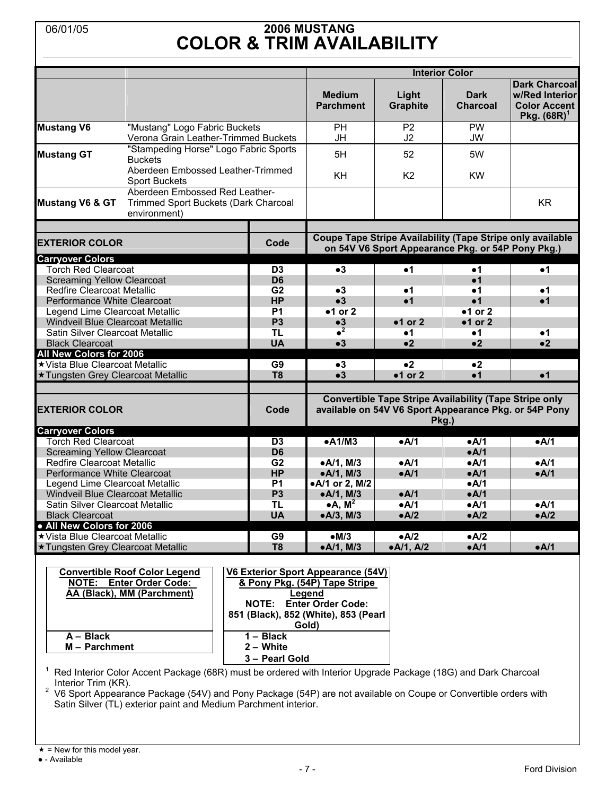## 06/01/05 **2006 MUSTANG COLOR & TRIM AVAILABILITY**

|                                                                   |                                                                                                      |                                                                                                    |                                                                              |                                                   | <b>Interior Color</b>          |                                                                                                                                 |  |  |
|-------------------------------------------------------------------|------------------------------------------------------------------------------------------------------|----------------------------------------------------------------------------------------------------|------------------------------------------------------------------------------|---------------------------------------------------|--------------------------------|---------------------------------------------------------------------------------------------------------------------------------|--|--|
|                                                                   |                                                                                                      |                                                                                                    | <b>Medium</b><br><b>Parchment</b>                                            | Light<br><b>Graphite</b>                          | <b>Dark</b><br><b>Charcoal</b> | <b>Dark Charcoal</b><br>w/Red Interior<br><b>Color Accent</b><br>Pkg. $(68R)^{1}$                                               |  |  |
| <b>Mustang V6</b>                                                 | "Mustang" Logo Fabric Buckets<br>Verona Grain Leather-Trimmed Buckets                                |                                                                                                    | PН<br>JH                                                                     | P <sub>2</sub><br>J2                              | <b>PW</b><br><b>JW</b>         |                                                                                                                                 |  |  |
| <b>Mustang GT</b>                                                 | "Stampeding Horse" Logo Fabric Sports<br><b>Buckets</b>                                              |                                                                                                    | 5H                                                                           | 52                                                | 5W                             |                                                                                                                                 |  |  |
|                                                                   | Aberdeen Embossed Leather-Trimmed<br><b>Sport Buckets</b>                                            |                                                                                                    | KH                                                                           | K <sub>2</sub>                                    | <b>KW</b>                      |                                                                                                                                 |  |  |
| <b>Mustang V6 &amp; GT</b>                                        | Aberdeen Embossed Red Leather-<br>Trimmed Sport Buckets (Dark Charcoal<br>environment)               |                                                                                                    |                                                                              |                                                   |                                | <b>KR</b>                                                                                                                       |  |  |
| <b>EXTERIOR COLOR</b>                                             |                                                                                                      | Code                                                                                               |                                                                              | on 54V V6 Sport Appearance Pkg. or 54P Pony Pkg.) |                                | <b>Coupe Tape Stripe Availability (Tape Stripe only available</b>                                                               |  |  |
| <b>Carryover Colors</b>                                           |                                                                                                      |                                                                                                    |                                                                              |                                                   |                                |                                                                                                                                 |  |  |
| <b>Torch Red Clearcoat</b>                                        |                                                                                                      | D <sub>3</sub>                                                                                     | $\bullet 3$                                                                  | $\bullet$ 1                                       | $\bullet$ 1                    | $\bullet$ 1                                                                                                                     |  |  |
| <b>Screaming Yellow Clearcoat</b>                                 |                                                                                                      | D <sub>6</sub>                                                                                     |                                                                              |                                                   | $\bullet$ 1                    |                                                                                                                                 |  |  |
| <b>Redfire Clearcoat Metallic</b>                                 |                                                                                                      | G <sub>2</sub>                                                                                     | $\bullet 3$                                                                  | •1                                                | $\bullet$ 1                    | •1                                                                                                                              |  |  |
| Performance White Clearcoat                                       |                                                                                                      | <b>HP</b>                                                                                          | $\bullet 3$                                                                  | $\bullet$ 1                                       | • <sub>1</sub>                 | $\bullet$ 1                                                                                                                     |  |  |
| Legend Lime Clearcoat Metallic                                    |                                                                                                      | <b>P1</b>                                                                                          | $•1$ or 2                                                                    |                                                   | $•1$ or 2                      |                                                                                                                                 |  |  |
| Windveil Blue Clearcoat Metallic                                  |                                                                                                      | P <sub>3</sub>                                                                                     | $\bullet 3$<br>$\bullet^2$                                                   | $•1$ or 2                                         | $•1$ or 2                      |                                                                                                                                 |  |  |
| Satin Silver Clearcoat Metallic                                   |                                                                                                      | <b>TL</b>                                                                                          |                                                                              | •1                                                | $\bullet$ 1                    | •1                                                                                                                              |  |  |
| <b>Black Clearcoat</b>                                            |                                                                                                      | <b>UA</b>                                                                                          | $\bullet 3$                                                                  | •2                                                | •2                             | $\bullet$ 2                                                                                                                     |  |  |
| <b>All New Colors for 2006</b><br>★ Vista Blue Clearcoat Metallic |                                                                                                      | G <sub>9</sub>                                                                                     | $\bullet 3$                                                                  | $\bullet$ 2                                       | $\bullet$ 2                    |                                                                                                                                 |  |  |
| ★ Tungsten Grey Clearcoat Metallic                                |                                                                                                      | T <sub>8</sub>                                                                                     | $\bullet 3$                                                                  | $•1$ or 2                                         | $\bullet$ 1                    | $\bullet$ 1                                                                                                                     |  |  |
|                                                                   |                                                                                                      |                                                                                                    |                                                                              |                                                   |                                |                                                                                                                                 |  |  |
| <b>EXTERIOR COLOR</b>                                             |                                                                                                      | Code                                                                                               |                                                                              |                                                   |                                | <b>Convertible Tape Stripe Availability (Tape Stripe only</b><br>available on 54V V6 Sport Appearance Pkg. or 54P Pony<br>Pkg.) |  |  |
| <b>Carryover Colors</b>                                           |                                                                                                      |                                                                                                    |                                                                              |                                                   |                                |                                                                                                                                 |  |  |
| <b>Torch Red Clearcoat</b>                                        |                                                                                                      | D <sub>3</sub>                                                                                     | $\bullet$ A1/M3                                                              | $\bullet$ A/1                                     | eA/1                           | eA/1                                                                                                                            |  |  |
| <b>Screaming Yellow Clearcoat</b>                                 |                                                                                                      | D <sub>6</sub>                                                                                     |                                                                              |                                                   | A/1                            |                                                                                                                                 |  |  |
| <b>Redfire Clearcoat Metallic</b>                                 |                                                                                                      | G <sub>2</sub><br><b>HP</b>                                                                        | $\bullet$ A/1, M/3                                                           | $\bullet$ A/1<br>$\bullet$ A/1                    | $\bullet$ A/1<br>$\bullet$ A/1 | •A/1<br>$\bullet$ A/1                                                                                                           |  |  |
| Performance White Clearcoat<br>Legend Lime Clearcoat Metallic     |                                                                                                      | <b>P1</b>                                                                                          | •A/1, M/3<br>•A/1 or 2, M/2                                                  |                                                   | $\bullet$ A/1                  |                                                                                                                                 |  |  |
| Windveil Blue Clearcoat Metallic                                  |                                                                                                      | P <sub>3</sub>                                                                                     | •A/1, M/3                                                                    | $\bullet$ A/1                                     | A/1                            |                                                                                                                                 |  |  |
| Satin Silver Clearcoat Metallic                                   |                                                                                                      | <b>TL</b>                                                                                          | $\bullet$ A, M <sup>2</sup>                                                  | $\bullet$ A/1                                     | $\bullet$ A/1                  | eA/1                                                                                                                            |  |  |
| <b>Black Clearcoat</b>                                            |                                                                                                      | <b>UA</b>                                                                                          | •A/3, M/3                                                                    | $\bullet$ A/2                                     | A/2                            | A/2                                                                                                                             |  |  |
| . All New Colors for 2006                                         |                                                                                                      |                                                                                                    |                                                                              |                                                   |                                |                                                                                                                                 |  |  |
| ★ Vista Blue Clearcoat Metallic                                   |                                                                                                      | G9                                                                                                 | $\bullet$ M/3                                                                | A/2                                               | A/2                            |                                                                                                                                 |  |  |
| ★ Tungsten Grey Clearcoat Metallic                                |                                                                                                      | T <sub>8</sub>                                                                                     | •A/1, M/3                                                                    | •A/1, A/2                                         | A/1                            | $\bullet$ A/1                                                                                                                   |  |  |
| A - Black                                                         | <b>Convertible Roof Color Legend</b><br><b>NOTE: Enter Order Code:</b><br>AA (Black), MM (Parchment) | V6 Exterior Sport Appearance (54V)<br>NOTE:<br>851 (Black), 852 (White), 853 (Pearl<br>$1 - Black$ | & Pony Pkg. (54P) Tape Stripe<br>Legend<br><b>Enter Order Code:</b><br>Gold) |                                                   |                                |                                                                                                                                 |  |  |

<sup>1</sup> Red Interior Color Accent Package (68R) must be ordered with Interior Upgrade Package (18G) and Dark Charcoal

 **3 – Pearl Gold**

Interior Trim (KR).<br><sup>2</sup> V6 Sport Appearance Package (54V) and Pony Package (54P) are not available on Coupe or Convertible orders with Satin Silver (TL) exterior paint and Medium Parchment interior.

**M – Parchment 2 – White**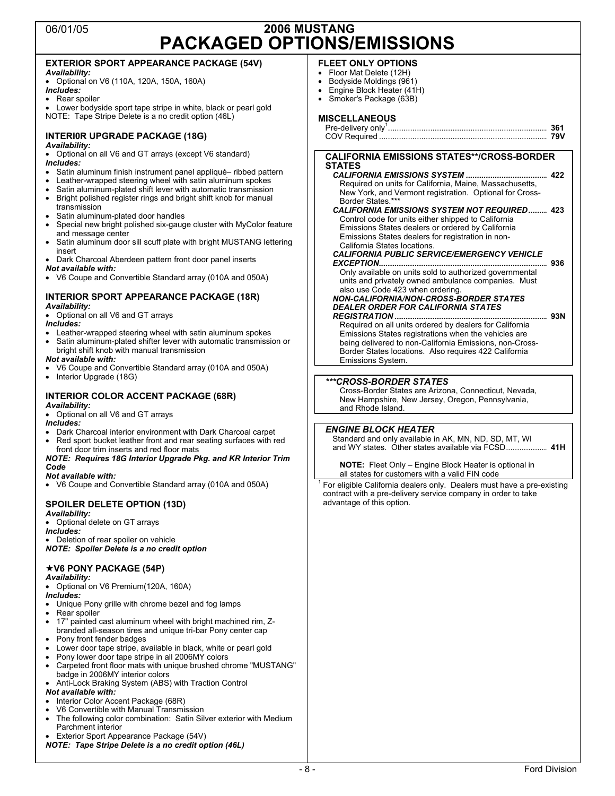## 06/01/05 **2006 MUSTANG PACKAGED OPTIONS/EMISSIONS**

#### **EXTERIOR SPORT APPEARANCE PACKAGE (54V)**  *Availability:* • Optional on V6 (110A, 120A, 150A, 160A) *Includes:* Rear spoiler Lower bodyside sport tape stripe in white, black or pearl gold NOTE: Tape Stripe Delete is a no credit option (46L) **INTERI0R UPGRADE PACKAGE (18G)**  *Availability:* • Optional on all V6 and GT arrays (except V6 standard) *Includes:* • Satin aluminum finish instrument panel appliqué– ribbed pattern • Leather-wrapped steering wheel with satin aluminum spokes • Satin aluminum-plated shift lever with automatic transmission • Bright polished register rings and bright shift knob for manual transmission Satin aluminum-plated door handles • Special new bright polished six-gauge cluster with MyColor feature and message center • Satin aluminum door sill scuff plate with bright MUSTANG lettering insert • Dark Charcoal Aberdeen pattern front door panel inserts *Not available with:* • V6 Coupe and Convertible Standard array (010A and 050A) **INTERIOR SPORT APPEARANCE PACKAGE (18R)**  *Availability:* • Optional on all V6 and GT arrays *Includes:* Leather-wrapped steering wheel with satin aluminum spokes • Satin aluminum-plated shifter lever with automatic transmission or bright shift knob with manual transmission *Not available with:* • V6 Coupe and Convertible Standard array (010A and 050A) • Interior Upgrade (18G) **INTERIOR COLOR ACCENT PACKAGE (68R)**  *Availability:* • Optional on all V6 and GT arrays *Includes:* • Dark Charcoal interior environment with Dark Charcoal carpet Red sport bucket leather front and rear seating surfaces with red front door trim inserts and red floor mats *NOTE: Requires 18G Interior Upgrade Pkg. and KR Interior Trim Code Not available with:* • V6 Coupe and Convertible Standard array (010A and 050A) **SPOILER DELETE OPTION (13D)**  *Availability:* • Optional delete on GT arrays *Includes:* • Deletion of rear spoiler on vehicle *NOTE: Spoiler Delete is a no credit option* **V6 PONY PACKAGE (54P)**  *Availability:* • Optional on V6 Premium(120A, 160A) *Includes:* • Unique Pony grille with chrome bezel and fog lamps Rear spoiler • 17" painted cast aluminum wheel with bright machined rim, Zbranded all-season tires and unique tri-bar Pony center cap • Pony front fender badges • Lower door tape stripe, available in black, white or pearl gold • Pony lower door tape stripe in all 2006MY colors • Carpeted front floor mats with unique brushed chrome "MUSTANG" badge in 2006MY interior colors • Anti-Lock Braking System (ABS) with Traction Control *Not available with:* • Interior Color Accent Package (68R) • V6 Convertible with Manual Transmission **FLEET ONLY OPTIONS**  • Floor Mat Delete (12H) • Bodyside Moldings (961) • Engine Block Heater (41H) • Smoker's Package (63B) **MISCELLANEOUS**  Pre-delivery only1 ........................................................................ **361**  COV Required ............................................................................ **79V CALIFORNIA EMISSIONS STATES\*\*/CROSS-BORDER STATES**  *CALIFORNIA EMISSIONS SYSTEM .....................................* **422**  Required on units for California, Maine, Massachusetts, New York, and Vermont registration. Optional for Cross-Border States.\*\*\* *CALIFORNIA EMISSIONS SYSTEM NOT REQUIRED.........* **423**  Control code for units either shipped to California Emissions States dealers or ordered by California Emissions States dealers for registration in non-California States locations. *CALIFORNIA PUBLIC SERVICE/EMERGENCY VEHICLE EXCEPTION............................................................................* **936**  Only available on units sold to authorized governmental units and privately owned ambulance companies. Must also use Code 423 when ordering. *NON-CALIFORNIA/NON-CROSS-BORDER STATES DEALER ORDER FOR CALIFORNIA STATES REGISTRATION .....................................................................* **93N**  Required on all units ordered by dealers for California Emissions States registrations when the vehicles are being delivered to non-California Emissions, non-Cross-Border States locations. Also requires 422 California Emissions System. *\*\*\*CROSS-BORDER STATES* Cross-Border States are Arizona, Connecticut, Nevada, New Hampshire, New Jersey, Oregon, Pennsylvania, and Rhode Island. *ENGINE BLOCK HEATER* Standard and only available in AK, MN, ND, SD, MT, WI and WY states. Other states available via FCSD................... **41H NOTE:** Fleet Only – Engine Block Heater is optional in all states for customers with a valid FIN code For eligible California dealers only. Dealers must have a pre-existing contract with a pre-delivery service company in order to take advantage of this option.

- The following color combination: Satin Silver exterior with Medium Parchment interior
- Exterior Sport Appearance Package (54V)
- *NOTE: Tape Stripe Delete is a no credit option (46L)*